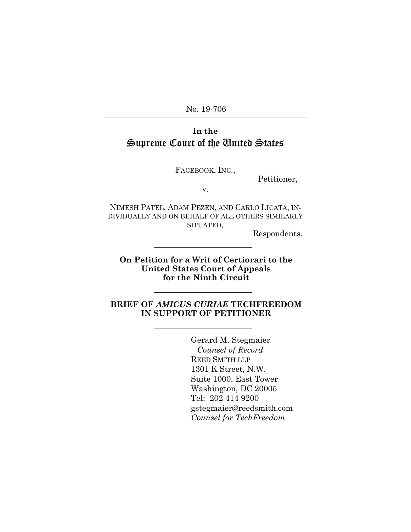No. 19-706

## **In the**  Supreme Court of the United States

FACEBOOK, INC.,

Petitioner,

v.

NIMESH PATEL, ADAM PEZEN, AND CARLO LICATA, IN-DIVIDUALLY AND ON BEHALF OF ALL OTHERS SIMILARLY SITUATED,

Respondents.

**On Petition for a Writ of Certiorari to the United States Court of Appeals for the Ninth Circuit**

#### **BRIEF OF** *AMICUS CURIAE* **TECHFREEDOM IN SUPPORT OF PETITIONER**

Gerard M. Stegmaier *Counsel of Record* REED SMITH LLP 1301 K Street, N.W. Suite 1000, East Tower Washington, DC 20005 Tel: 202 414 9200 gstegmaier@reedsmith.com *Counsel for TechFreedom*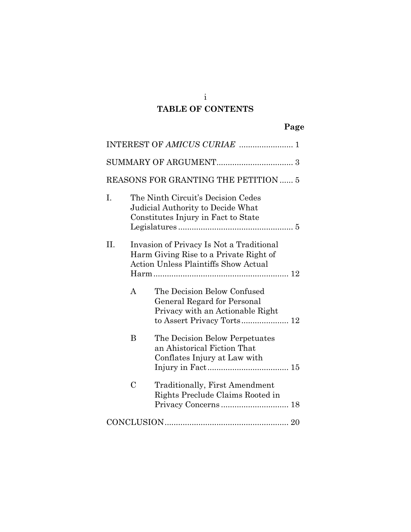# **TABLE OF CONTENTS**

# **Page**

| REASONS FOR GRANTING THE PETITION  5 |               |                                                                                                                                   |  |  |
|--------------------------------------|---------------|-----------------------------------------------------------------------------------------------------------------------------------|--|--|
| I.                                   |               | The Ninth Circuit's Decision Cedes<br>Judicial Authority to Decide What<br>Constitutes Injury in Fact to State                    |  |  |
| II.                                  |               | Invasion of Privacy Is Not a Traditional<br>Harm Giving Rise to a Private Right of<br><b>Action Unless Plaintiffs Show Actual</b> |  |  |
|                                      | $\mathsf{A}$  | The Decision Below Confused<br>General Regard for Personal<br>Privacy with an Actionable Right                                    |  |  |
|                                      | B             | The Decision Below Perpetuates<br>an Ahistorical Fiction That<br>Conflates Injury at Law with                                     |  |  |
|                                      | $\mathcal{C}$ | <b>Traditionally, First Amendment</b><br>Rights Preclude Claims Rooted in                                                         |  |  |
|                                      |               |                                                                                                                                   |  |  |

i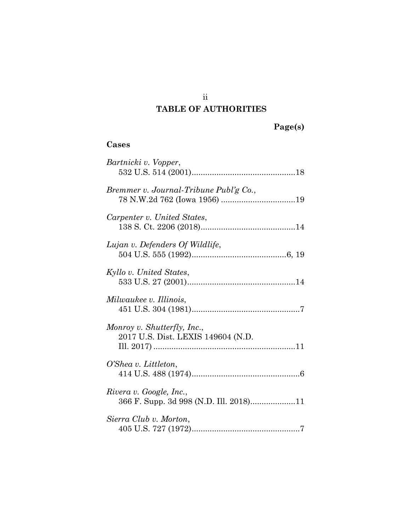# **TABLE OF AUTHORITIES**

### **Cases**

| Bartnicki v. Vopper,                                              |
|-------------------------------------------------------------------|
| Bremmer v. Journal-Tribune Publ'g Co.,                            |
| Carpenter v. United States,                                       |
| Lujan v. Defenders Of Wildlife,                                   |
| Kyllo v. United States,                                           |
| Milwaukee v. Illinois,                                            |
| Monroy v. Shutterfly, Inc.,<br>2017 U.S. Dist. LEXIS 149604 (N.D. |
| O'Shea v. Littleton,                                              |
| Rivera v. Google, Inc.,<br>366 F. Supp. 3d 998 (N.D. Ill. 2018)11 |
| Sierra Club v. Morton,                                            |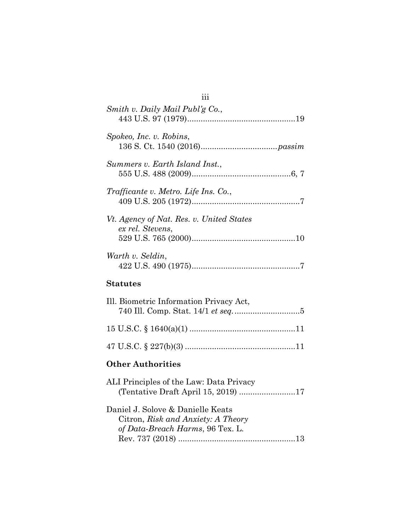| Smith v. Daily Mail Publ'g Co.,                                                |  |  |  |
|--------------------------------------------------------------------------------|--|--|--|
| Spokeo, Inc. v. Robins,                                                        |  |  |  |
| Summers v. Earth Island Inst.,                                                 |  |  |  |
| Trafficante v. Metro. Life Ins. Co.,                                           |  |  |  |
| Vt. Agency of Nat. Res. v. United States<br>ex rel. Stevens,                   |  |  |  |
| Warth v. Seldin,                                                               |  |  |  |
| <b>Statutes</b>                                                                |  |  |  |
|                                                                                |  |  |  |
| Ill. Biometric Information Privacy Act,                                        |  |  |  |
|                                                                                |  |  |  |
|                                                                                |  |  |  |
| <b>Other Authorities</b>                                                       |  |  |  |
| ALI Principles of the Law: Data Privacy<br>(Tentative Draft April 15, 2019) 17 |  |  |  |

iii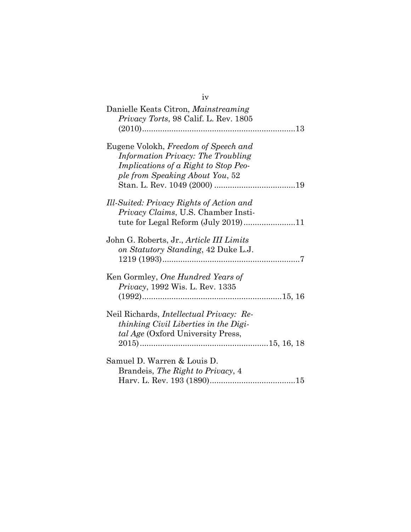| iv                                                                                                                                                           |
|--------------------------------------------------------------------------------------------------------------------------------------------------------------|
| Danielle Keats Citron, Mainstreaming<br>Privacy Torts, 98 Calif. L. Rev. 1805                                                                                |
| Eugene Volokh, Freedom of Speech and<br>Information Privacy: The Troubling<br><i>Implications of a Right to Stop Peo-</i><br>ple from Speaking About You, 52 |
| Ill-Suited: Privacy Rights of Action and<br>Privacy Claims, U.S. Chamber Insti-                                                                              |
| John G. Roberts, Jr., Article III Limits<br>on Statutory Standing, 42 Duke L.J.                                                                              |
| Ken Gormley, One Hundred Years of<br><i>Privacy</i> , 1992 Wis. L. Rev. 1335                                                                                 |
| Neil Richards, <i>Intellectual Privacy: Re-</i><br>thinking Civil Liberties in the Digi-<br>tal Age (Oxford University Press,                                |
| Samuel D. Warren & Louis D.<br>Brandeis, The Right to Privacy, 4                                                                                             |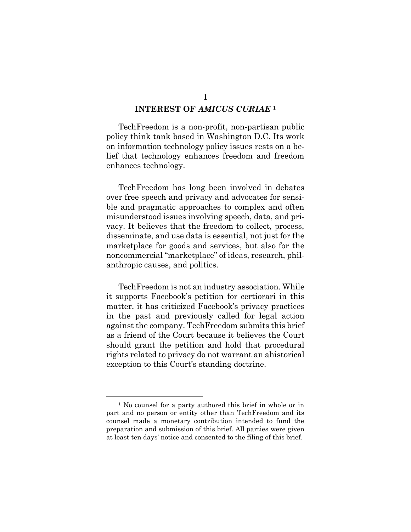### **INTEREST OF** *AMICUS CURIAE* **<sup>1</sup>**

TechFreedom is a non-profit, non-partisan public policy think tank based in Washington D.C. Its work on information technology policy issues rests on a belief that technology enhances freedom and freedom enhances technology.

TechFreedom has long been involved in debates over free speech and privacy and advocates for sensible and pragmatic approaches to complex and often misunderstood issues involving speech, data, and privacy. It believes that the freedom to collect, process, disseminate, and use data is essential, not just for the marketplace for goods and services, but also for the noncommercial "marketplace" of ideas, research, philanthropic causes, and politics.

TechFreedom is not an industry association. While it supports Facebook's petition for certiorari in this matter, it has criticized Facebook's privacy practices in the past and previously called for legal action against the company. TechFreedom submits this brief as a friend of the Court because it believes the Court should grant the petition and hold that procedural rights related to privacy do not warrant an ahistorical exception to this Court's standing doctrine.

<sup>&</sup>lt;sup>1</sup> No counsel for a party authored this brief in whole or in part and no person or entity other than TechFreedom and its counsel made a monetary contribution intended to fund the preparation and submission of this brief. All parties were given at least ten days' notice and consented to the filing of this brief.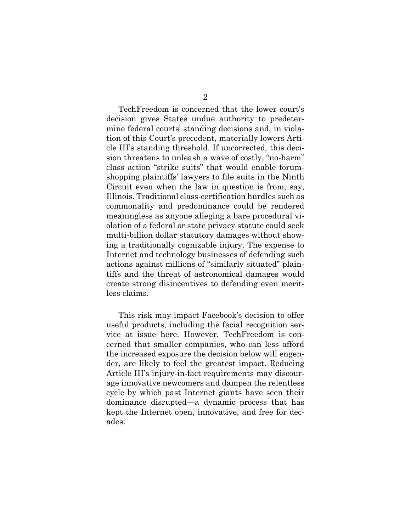TechFreedom is concerned that the lower court's decision gives States undue authority to predetermine federal courts' standing decisions and, in violation of this Court's precedent, materially lowers Article III's standing threshold. If uncorrected, this decision threatens to unleash a wave of costly, "no-harm" class action "strike suits" that would enable forumshopping plaintiffs' lawyers to file suits in the Ninth Circuit even when the law in question is from, say, Illinois. Traditional class-certification hurdles such as commonality and predominance could be rendered meaningless as anyone alleging a bare procedural violation of a federal or state privacy statute could seek multi-billion dollar statutory damages without showing a traditionally cognizable injury. The expense to Internet and technology businesses of defending such actions against millions of "similarly situated" plaintiffs and the threat of astronomical damages would create strong disincentives to defending even meritless claims.

This risk may impact Facebook's decision to offer useful products, including the facial recognition service at issue here. However, TechFreedom is concerned that smaller companies, who can less afford the increased exposure the decision below will engender, are likely to feel the greatest impact. Reducing Article III's injury-in-fact requirements may discourage innovative newcomers and dampen the relentless cycle by which past Internet giants have seen their dominance disrupted—a dynamic process that has kept the Internet open, innovative, and free for decades.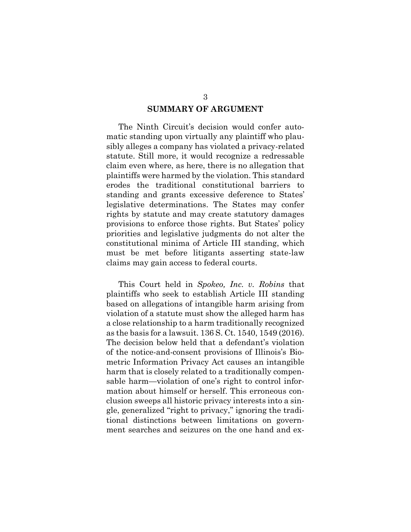## **SUMMARY OF ARGUMENT**

The Ninth Circuit's decision would confer automatic standing upon virtually any plaintiff who plausibly alleges a company has violated a privacy-related statute. Still more, it would recognize a redressable claim even where, as here, there is no allegation that plaintiffs were harmed by the violation. This standard erodes the traditional constitutional barriers to standing and grants excessive deference to States' legislative determinations. The States may confer rights by statute and may create statutory damages provisions to enforce those rights. But States' policy priorities and legislative judgments do not alter the constitutional minima of Article III standing, which must be met before litigants asserting state-law claims may gain access to federal courts.

<span id="page-7-0"></span>This Court held in *Spokeo, Inc. v. Robins* that plaintiffs who seek to establish Article III standing based on allegations of intangible harm arising from violation of a statute must show the alleged harm has a close relationship to a harm traditionally recognized as the basis for a lawsuit. 136 S. Ct. 1540, 1549 (2016). The decision below held that a defendant's violation of the notice-and-consent provisions of Illinois's Biometric Information Privacy Act causes an intangible harm that is closely related to a traditionally compensable harm—violation of one's right to control information about himself or herself. This erroneous conclusion sweeps all historic privacy interests into a single, generalized "right to privacy," ignoring the traditional distinctions between limitations on government searches and seizures on the one hand and ex-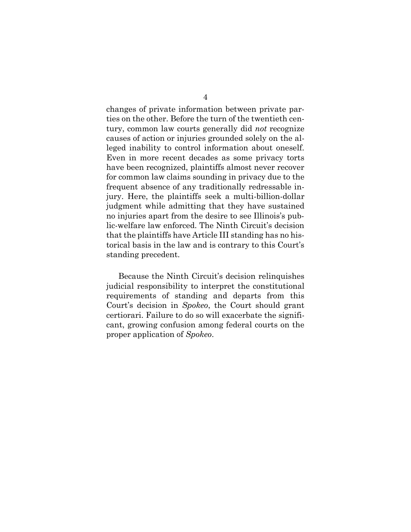changes of private information between private parties on the other. Before the turn of the twentieth century, common law courts generally did *not* recognize causes of action or injuries grounded solely on the alleged inability to control information about oneself. Even in more recent decades as some privacy torts have been recognized, plaintiffs almost never recover for common law claims sounding in privacy due to the frequent absence of any traditionally redressable injury. Here, the plaintiffs seek a multi-billion-dollar judgment while admitting that they have sustained no injuries apart from the desire to see Illinois's public-welfare law enforced. The Ninth Circuit's decision that the plaintiffs have Article III standing has no historical basis in the law and is contrary to this Court's standing precedent.

Because the Ninth Circuit's decision relinquishes judicial responsibility to interpret the constitutional requirements of standing and departs from this Court's decision in *Spokeo*, the Court should grant certiorari. Failure to do so will exacerbate the significant, growing confusion among federal courts on the proper application of *Spokeo*.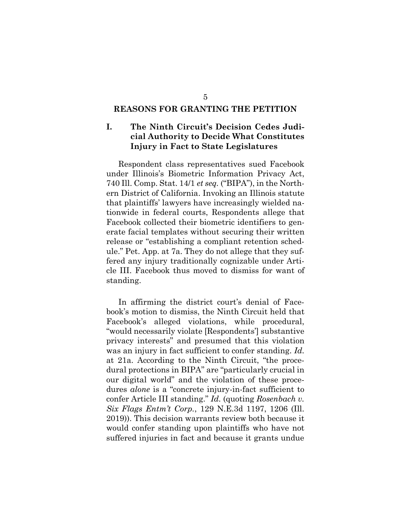#### **REASONS FOR GRANTING THE PETITION**

#### **I. The Ninth Circuit's Decision Cedes Judicial Authority to Decide What Constitutes Injury in Fact to State Legislatures**

Respondent class representatives sued Facebook under Illinois's Biometric Information Privacy Act, 740 Ill. Comp. Stat. 14/1 *et seq.* ("BIPA"), in the Northern District of California. Invoking an Illinois statute that plaintiffs' lawyers have increasingly wielded nationwide in federal courts, Respondents allege that Facebook collected their biometric identifiers to generate facial templates without securing their written release or "establishing a compliant retention schedule." Pet. App. at 7a. They do not allege that they suffered any injury traditionally cognizable under Article III. Facebook thus moved to dismiss for want of standing.

In affirming the district court's denial of Facebook's motion to dismiss, the Ninth Circuit held that Facebook's alleged violations, while procedural, "would necessarily violate [Respondents'] substantive privacy interests" and presumed that this violation was an injury in fact sufficient to confer standing. *Id.* at 21a. According to the Ninth Circuit, "the procedural protections in BIPA" are "particularly crucial in our digital world" and the violation of these procedures *alone* is a "concrete injury-in-fact sufficient to confer Article III standing." *Id.* (quoting *Rosenbach v. Six Flags Entm't Corp.*, 129 N.E.3d 1197, 1206 (Ill. 2019)). This decision warrants review both because it would confer standing upon plaintiffs who have not suffered injuries in fact and because it grants undue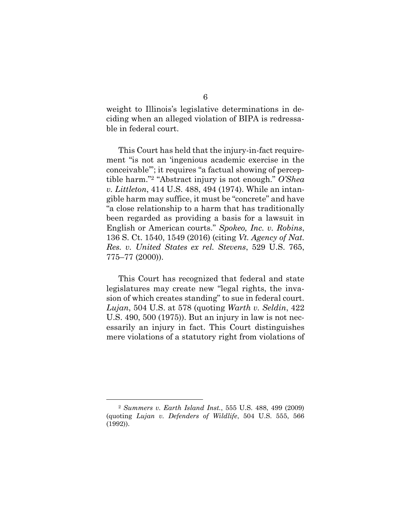weight to Illinois's legislative determinations in deciding when an alleged violation of BIPA is redressable in federal court.

<span id="page-10-0"></span>This Court has held that the injury-in-fact requirement "is not an 'ingenious academic exercise in the conceivable'"; it requires "a factual showing of perceptible harm."<sup>2</sup> "Abstract injury is not enough." *O'Shea v. Littleton*, 414 U.S. 488, 494 (1974). While an intangible harm may suffice, it must be "concrete" and have "a close relationship to a harm that has traditionally been regarded as providing a basis for a lawsuit in English or American courts." *Spokeo, Inc. v. Robins*, 136 S. Ct. 1540, 1549 (2016) (citing *Vt. Agency of Nat. Res. v. United States ex rel. Stevens*, 529 U.S. 765, 775–77 (2000)).

This Court has recognized that federal and state legislatures may create new "legal rights, the invasion of which creates standing" to sue in federal court. *Lujan*, 504 U.S. at 578 (quoting *Warth v. Seldin*, 422 U.S. 490, 500 (1975)). But an injury in law is not necessarily an injury in fact. This Court distinguishes mere violations of a statutory right from violations of

<span id="page-10-1"></span><sup>2</sup> *Summers v. Earth Island Inst.*, 555 U.S. 488, 499 (2009) (quoting *Lujan v. Defenders of Wildlife*, 504 U.S. 555, 566 (1992)).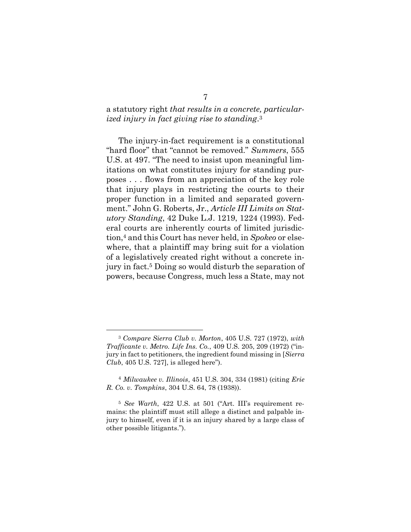#### a statutory right *that results in a concrete, particularized injury in fact giving rise to standing*. 3

<span id="page-11-2"></span>The injury-in-fact requirement is a constitutional "hard floor" that "cannot be removed." *Summers*, 555 U.S. at 497. "The need to insist upon meaningful limitations on what constitutes injury for standing purposes . . . flows from an appreciation of the key role that injury plays in restricting the courts to their proper function in a limited and separated government." John G. Roberts, Jr., *Article III Limits on Statutory Standing*, 42 Duke L.J. 1219, 1224 (1993). Federal courts are inherently courts of limited jurisdiction,<sup>4</sup> and this Court has never held, in *Spokeo* or elsewhere, that a plaintiff may bring suit for a violation of a legislatively created right without a concrete injury in fact.<sup>5</sup> Doing so would disturb the separation of powers, because Congress, much less a State, may not

<sup>3</sup> *Compare Sierra Club v. Morton*, 405 U.S. 727 (1972), *with Trafficante v. Metro. Life Ins. Co.*, 409 U.S. 205, 209 (1972) ("injury in fact to petitioners, the ingredient found missing in [*Sierra Club*, 405 U.S. 727], is alleged here").

<span id="page-11-0"></span><sup>4</sup> *Milwaukee v. Illinois*, 451 U.S. 304, 334 (1981) (citing *Erie R. Co. v. Tompkins*, 304 U.S. 64, 78 (1938)).

<span id="page-11-1"></span><sup>5</sup> *See Warth*, 422 U.S. at 501 ("Art. III's requirement remains: the plaintiff must still allege a distinct and palpable injury to himself, even if it is an injury shared by a large class of other possible litigants.").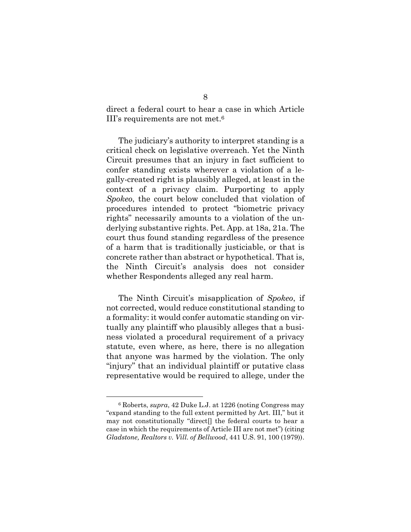direct a federal court to hear a case in which Article III's requirements are not met.<sup>6</sup>

The judiciary's authority to interpret standing is a critical check on legislative overreach. Yet the Ninth Circuit presumes that an injury in fact sufficient to confer standing exists wherever a violation of a legally-created right is plausibly alleged, at least in the context of a privacy claim. Purporting to apply *Spokeo*, the court below concluded that violation of procedures intended to protect "biometric privacy rights" necessarily amounts to a violation of the underlying substantive rights. Pet. App. at 18a, 21a. The court thus found standing regardless of the presence of a harm that is traditionally justiciable, or that is concrete rather than abstract or hypothetical. That is, the Ninth Circuit's analysis does not consider whether Respondents alleged any real harm.

The Ninth Circuit's misapplication of *Spokeo*, if not corrected, would reduce constitutional standing to a formality: it would confer automatic standing on virtually any plaintiff who plausibly alleges that a business violated a procedural requirement of a privacy statute, even where, as here, there is no allegation that anyone was harmed by the violation. The only "injury" that an individual plaintiff or putative class representative would be required to allege, under the

<sup>6</sup> Roberts, *supra*, 42 Duke L.J. at 1226 (noting Congress may "expand standing to the full extent permitted by Art. III," but it may not constitutionally "direct[] the federal courts to hear a case in which the requirements of Article III are not met") (citing *Gladstone, Realtors v. Vill. of Bellwood*, 441 U.S. 91, 100 (1979)).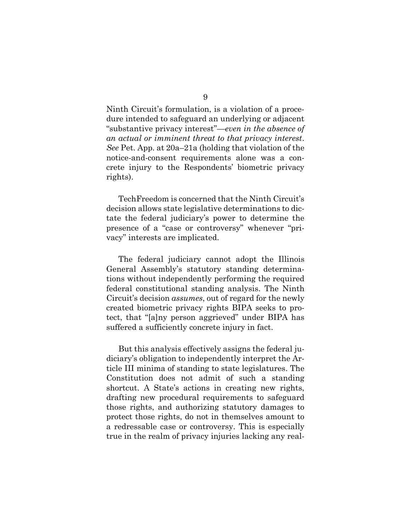Ninth Circuit's formulation, is a violation of a procedure intended to safeguard an underlying or adjacent "substantive privacy interest"—*even in the absence of an actual or imminent threat to that privacy interest*. *See* Pet. App. at 20a–21a (holding that violation of the notice-and-consent requirements alone was a concrete injury to the Respondents' biometric privacy rights).

TechFreedom is concerned that the Ninth Circuit's decision allows state legislative determinations to dictate the federal judiciary's power to determine the presence of a "case or controversy" whenever "privacy" interests are implicated.

The federal judiciary cannot adopt the Illinois General Assembly's statutory standing determinations without independently performing the required federal constitutional standing analysis. The Ninth Circuit's decision *assumes*, out of regard for the newly created biometric privacy rights BIPA seeks to protect, that "[a]ny person aggrieved" under BIPA has suffered a sufficiently concrete injury in fact.

But this analysis effectively assigns the federal judiciary's obligation to independently interpret the Article III minima of standing to state legislatures. The Constitution does not admit of such a standing shortcut. A State's actions in creating new rights, drafting new procedural requirements to safeguard those rights, and authorizing statutory damages to protect those rights, do not in themselves amount to a redressable case or controversy. This is especially true in the realm of privacy injuries lacking any real-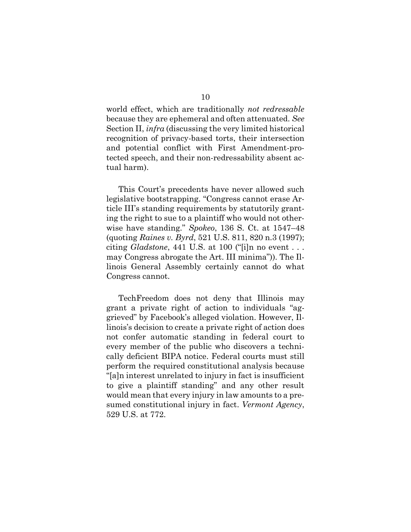world effect, which are traditionally *not redressable* because they are ephemeral and often attenuated. *See*  Section II, *infra* (discussing the very limited historical recognition of privacy-based torts, their intersection and potential conflict with First Amendment-protected speech, and their non-redressability absent actual harm).

This Court's precedents have never allowed such legislative bootstrapping. "Congress cannot erase Article III's standing requirements by statutorily granting the right to sue to a plaintiff who would not otherwise have standing." *Spokeo*, 136 S. Ct. at 1547–48 (quoting *Raines v. Byrd*, 521 U.S. 811, 820 n.3 (1997); citing *Gladstone*, 441 U.S. at 100 ("[i]n no event . . . may Congress abrogate the Art. III minima")). The Illinois General Assembly certainly cannot do what Congress cannot.

<span id="page-14-0"></span>TechFreedom does not deny that Illinois may grant a private right of action to individuals "aggrieved" by Facebook's alleged violation. However, Illinois's decision to create a private right of action does not confer automatic standing in federal court to every member of the public who discovers a technically deficient BIPA notice. Federal courts must still perform the required constitutional analysis because "[a]n interest unrelated to injury in fact is insufficient to give a plaintiff standing" and any other result would mean that every injury in law amounts to a presumed constitutional injury in fact. *Vermont Agency*, 529 U.S. at 772.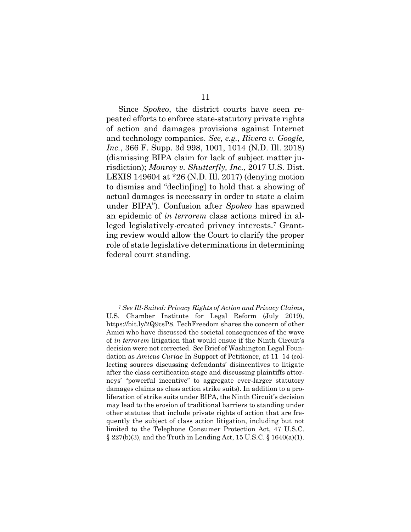<span id="page-15-0"></span>Since *Spokeo*, the district courts have seen repeated efforts to enforce state-statutory private rights of action and damages provisions against Internet and technology companies. *See, e.g.*, *Rivera v. Google, Inc.*, 366 F. Supp. 3d 998, 1001, 1014 (N.D. Ill. 2018) (dismissing BIPA claim for lack of subject matter jurisdiction); *Monroy v. Shutterfly, Inc.*, 2017 U.S. Dist. LEXIS 149604 at \*26 (N.D. Ill. 2017) (denying motion to dismiss and "declin[ing] to hold that a showing of actual damages is necessary in order to state a claim under BIPA"). Confusion after *Spokeo* has spawned an epidemic of *in terrorem* class actions mired in alleged legislatively-created privacy interests. <sup>7</sup> Granting review would allow the Court to clarify the proper role of state legislative determinations in determining federal court standing.

<span id="page-15-3"></span><span id="page-15-2"></span><span id="page-15-1"></span><sup>7</sup> *See Ill-Suited: Privacy Rights of Action and Privacy Claims*, U.S. Chamber Institute for Legal Reform (July 2019), [https://bit.ly/2Q9csP8.](https://bit.ly/2Q9csP8) TechFreedom shares the concern of other Amici who have discussed the societal consequences of the wave of *in terrorem* litigation that would ensue if the Ninth Circuit's decision were not corrected. *See* Brief of Washington Legal Foundation as *Amicus Curiae* In Support of Petitioner, at 11–14 (collecting sources discussing defendants' disincentives to litigate after the class certification stage and discussing plaintiffs attorneys' "powerful incentive" to aggregate ever-larger statutory damages claims as class action strike suits). In addition to a proliferation of strike suits under BIPA, the Ninth Circuit's decision may lead to the erosion of traditional barriers to standing under other statutes that include private rights of action that are frequently the subject of class action litigation, including but not limited to the Telephone Consumer Protection Act, 47 U.S.C. § 227(b)(3), and the Truth in Lending Act, 15 U.S.C. § 1640(a)(1).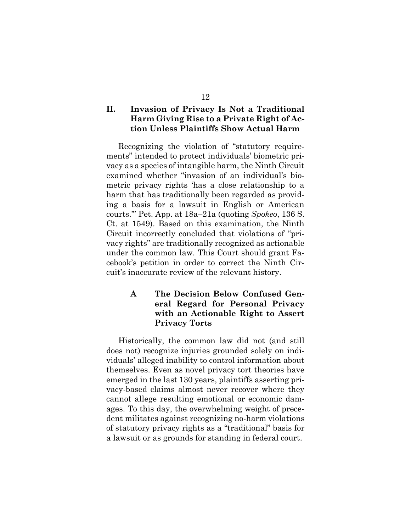#### **II. Invasion of Privacy Is Not a Traditional Harm Giving Rise to a Private Right of Action Unless Plaintiffs Show Actual Harm**

Recognizing the violation of "statutory requirements" intended to protect individuals' biometric privacy as a species of intangible harm, the Ninth Circuit examined whether "invasion of an individual's biometric privacy rights 'has a close relationship to a harm that has traditionally been regarded as providing a basis for a lawsuit in English or American courts.'" Pet. App. at 18a–21a (quoting *Spokeo*, 136 S. Ct. at 1549). Based on this examination, the Ninth Circuit incorrectly concluded that violations of "privacy rights" are traditionally recognized as actionable under the common law. This Court should grant Facebook's petition in order to correct the Ninth Circuit's inaccurate review of the relevant history.

#### **A The Decision Below Confused General Regard for Personal Privacy with an Actionable Right to Assert Privacy Torts**

Historically, the common law did not (and still does not) recognize injuries grounded solely on individuals' alleged inability to control information about themselves. Even as novel privacy tort theories have emerged in the last 130 years, plaintiffs asserting privacy-based claims almost never recover where they cannot allege resulting emotional or economic damages. To this day, the overwhelming weight of precedent militates against recognizing no-harm violations of statutory privacy rights as a "traditional" basis for a lawsuit or as grounds for standing in federal court.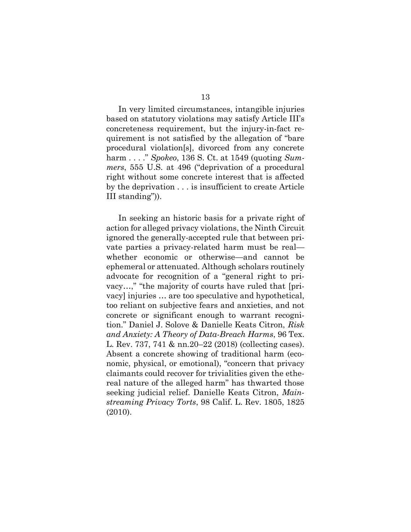In very limited circumstances, intangible injuries based on statutory violations may satisfy Article III's concreteness requirement, but the injury-in-fact requirement is not satisfied by the allegation of "bare procedural violation[s], divorced from any concrete harm . . . ." *Spokeo*, 136 S. Ct. at 1549 (quoting *Summers*, 555 U.S. at 496 ("deprivation of a procedural right without some concrete interest that is affected by the deprivation . . . is insufficient to create Article III standing")).

<span id="page-17-1"></span><span id="page-17-0"></span>In seeking an historic basis for a private right of action for alleged privacy violations, the Ninth Circuit ignored the generally-accepted rule that between private parties a privacy-related harm must be real whether economic or otherwise—and cannot be ephemeral or attenuated. Although scholars routinely advocate for recognition of a "general right to privacy…," "the majority of courts have ruled that [privacy] injuries … are too speculative and hypothetical, too reliant on subjective fears and anxieties, and not concrete or significant enough to warrant recognition." Daniel J. Solove & Danielle Keats Citron, *Risk and Anxiety: A Theory of Data-Breach Harms*, 96 Tex. L. Rev. 737, 741 & nn.20–22 (2018) (collecting cases). Absent a concrete showing of traditional harm (economic, physical, or emotional), "concern that privacy claimants could recover for trivialities given the ethereal nature of the alleged harm" has thwarted those seeking judicial relief. Danielle Keats Citron, *Mainstreaming Privacy Torts*, 98 Calif. L. Rev. 1805, 1825 (2010).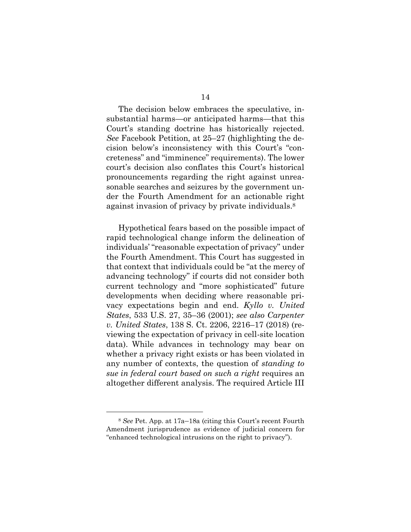The decision below embraces the speculative, insubstantial harms—or anticipated harms—that this Court's standing doctrine has historically rejected. *See* Facebook Petition, at 25–27 (highlighting the decision below's inconsistency with this Court's "concreteness" and "imminence" requirements). The lower court's decision also conflates this Court's historical pronouncements regarding the right against unreasonable searches and seizures by the government under the Fourth Amendment for an actionable right against invasion of privacy by private individuals.<sup>8</sup>

<span id="page-18-1"></span><span id="page-18-0"></span>Hypothetical fears based on the possible impact of rapid technological change inform the delineation of individuals' "reasonable expectation of privacy" under the Fourth Amendment. This Court has suggested in that context that individuals could be "at the mercy of advancing technology" if courts did not consider both current technology and "more sophisticated" future developments when deciding where reasonable privacy expectations begin and end. *Kyllo v. United States*, 533 U.S. 27, 35–36 (2001); *see also Carpenter v. United States*, 138 S. Ct. 2206, 2216–17 (2018) (reviewing the expectation of privacy in cell-site location data). While advances in technology may bear on whether a privacy right exists or has been violated in any number of contexts, the question of *standing to sue in federal court based on such a right* requires an altogether different analysis. The required Article III

<sup>8</sup> *See* Pet. App. at 17a–18a (citing this Court's recent Fourth Amendment jurisprudence as evidence of judicial concern for "enhanced technological intrusions on the right to privacy").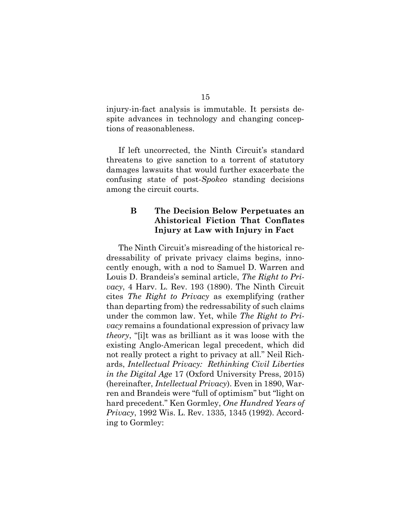injury-in-fact analysis is immutable. It persists despite advances in technology and changing conceptions of reasonableness.

If left uncorrected, the Ninth Circuit's standard threatens to give sanction to a torrent of statutory damages lawsuits that would further exacerbate the confusing state of post-*Spokeo* standing decisions among the circuit courts.

#### <span id="page-19-2"></span>**B The Decision Below Perpetuates an Ahistorical Fiction That Conflates Injury at Law with Injury in Fact**

<span id="page-19-1"></span><span id="page-19-0"></span>The Ninth Circuit's misreading of the historical redressability of private privacy claims begins, innocently enough, with a nod to Samuel D. Warren and Louis D. Brandeis's seminal article, *The Right to Privacy*, 4 Harv. L. Rev. 193 (1890). The Ninth Circuit cites *The Right to Privacy* as exemplifying (rather than departing from) the redressability of such claims under the common law. Yet, while *The Right to Privacy* remains a foundational expression of privacy law *theory*, "[i]t was as brilliant as it was loose with the existing Anglo-American legal precedent, which did not really protect a right to privacy at all." Neil Richards, *Intellectual Privacy: Rethinking Civil Liberties in the Digital Age* 17 (Oxford University Press, 2015) (hereinafter, *Intellectual Privacy*). Even in 1890, Warren and Brandeis were "full of optimism" but "light on hard precedent." Ken Gormley, *One Hundred Years of Privacy*, 1992 Wis. L. Rev. 1335, 1345 (1992). According to Gormley: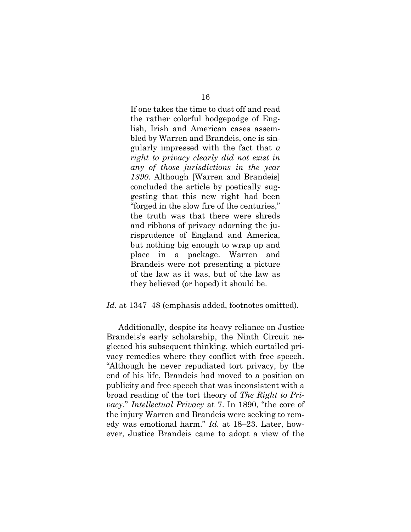If one takes the time to dust off and read the rather colorful hodgepodge of English, Irish and American cases assembled by Warren and Brandeis, one is singularly impressed with the fact that *a right to privacy clearly did not exist in any of those jurisdictions in the year 1890*. Although [Warren and Brandeis] concluded the article by poetically suggesting that this new right had been "forged in the slow fire of the centuries," the truth was that there were shreds and ribbons of privacy adorning the jurisprudence of England and America, but nothing big enough to wrap up and place in a package. Warren and Brandeis were not presenting a picture of the law as it was, but of the law as they believed (or hoped) it should be.

#### *Id.* at 1347–48 (emphasis added, footnotes omitted).

Additionally, despite its heavy reliance on Justice Brandeis's early scholarship, the Ninth Circuit neglected his subsequent thinking, which curtailed privacy remedies where they conflict with free speech. "Although he never repudiated tort privacy, by the end of his life, Brandeis had moved to a position on publicity and free speech that was inconsistent with a broad reading of the tort theory of *The Right to Privacy*." *Intellectual Privacy* at 7. In 1890, "the core of the injury Warren and Brandeis were seeking to remedy was emotional harm." *Id.* at 18–23. Later, however, Justice Brandeis came to adopt a view of the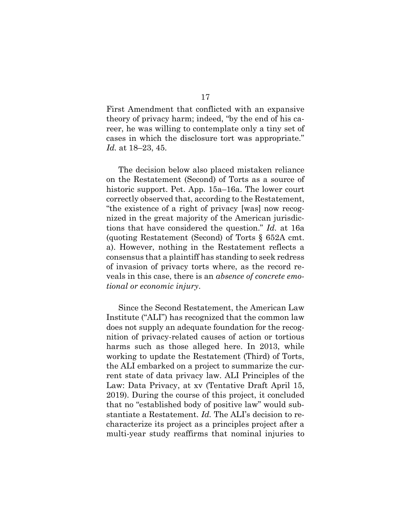First Amendment that conflicted with an expansive theory of privacy harm; indeed, "by the end of his career, he was willing to contemplate only a tiny set of cases in which the disclosure tort was appropriate." *Id.* at 18–23, 45.

The decision below also placed mistaken reliance on the Restatement (Second) of Torts as a source of historic support. Pet. App. 15a–16a. The lower court correctly observed that, according to the Restatement, "the existence of a right of privacy [was] now recognized in the great majority of the American jurisdictions that have considered the question." *Id.* at 16a (quoting Restatement (Second) of Torts § 652A cmt. a). However, nothing in the Restatement reflects a consensus that a plaintiff has standing to seek redress of invasion of privacy torts where, as the record reveals in this case, there is an *absence of concrete emotional or economic injury*.

<span id="page-21-0"></span>Since the Second Restatement, the American Law Institute ("ALI") has recognized that the common law does not supply an adequate foundation for the recognition of privacy-related causes of action or tortious harms such as those alleged here. In 2013, while working to update the Restatement (Third) of Torts, the ALI embarked on a project to summarize the current state of data privacy law. ALI Principles of the Law: Data Privacy, at xv (Tentative Draft April 15, 2019). During the course of this project, it concluded that no "established body of positive law" would substantiate a Restatement. *Id.* The ALI's decision to recharacterize its project as a principles project after a multi-year study reaffirms that nominal injuries to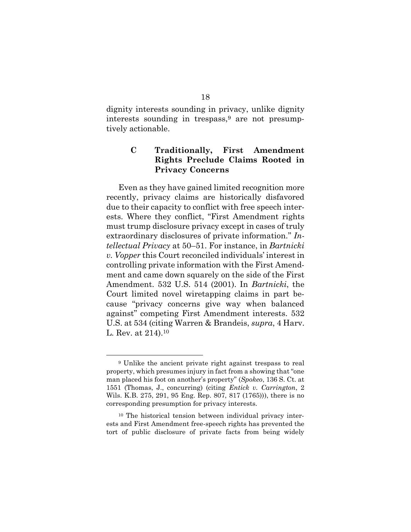dignity interests sounding in privacy, unlike dignity interests sounding in trespass, <sup>9</sup> are not presumptively actionable.

#### **C Traditionally, First Amendment Rights Preclude Claims Rooted in Privacy Concerns**

Even as they have gained limited recognition more recently, privacy claims are historically disfavored due to their capacity to conflict with free speech interests. Where they conflict, "First Amendment rights must trump disclosure privacy except in cases of truly extraordinary disclosures of private information." *Intellectual Privacy* at 50–51. For instance, in *Bartnicki v. Vopper* this Court reconciled individuals' interest in controlling private information with the First Amendment and came down squarely on the side of the First Amendment. 532 U.S. 514 (2001). In *Bartnicki*, the Court limited novel wiretapping claims in part because "privacy concerns give way when balanced against" competing First Amendment interests. 532 U.S. at 534 (citing Warren & Brandeis, *supra*, 4 Harv. L. Rev. at 214).<sup>10</sup>

<span id="page-22-0"></span><sup>9</sup> Unlike the ancient private right against trespass to real property, which presumes injury in fact from a showing that "one man placed his foot on another's property" (*Spokeo*, 136 S. Ct. at 1551 (Thomas, J., concurring) (citing *Entick v. Carrington*, 2 Wils. K.B. 275, 291, 95 Eng. Rep. 807, 817 (1765))), there is no corresponding presumption for privacy interests*.*

<sup>10</sup> The historical tension between individual privacy interests and First Amendment free-speech rights has prevented the tort of public disclosure of private facts from being widely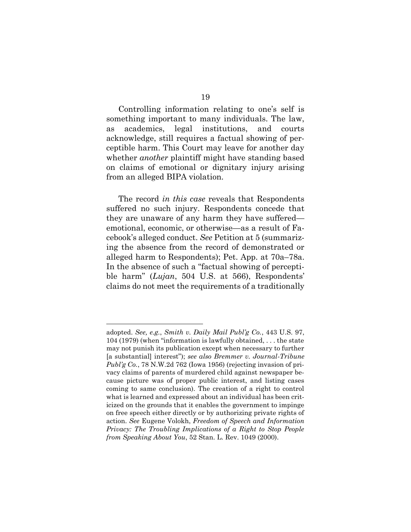Controlling information relating to one's self is something important to many individuals. The law, as academics, legal institutions, and courts acknowledge, still requires a factual showing of perceptible harm. This Court may leave for another day whether *another* plaintiff might have standing based on claims of emotional or dignitary injury arising from an alleged BIPA violation.

The record *in this case* reveals that Respondents suffered no such injury. Respondents concede that they are unaware of any harm they have suffered emotional, economic, or otherwise—as a result of Facebook's alleged conduct. *See* Petition at 5 (summarizing the absence from the record of demonstrated or alleged harm to Respondents); Pet. App. at 70a–78a. In the absence of such a "factual showing of perceptible harm" (*Lujan*, 504 U.S. at 566), Respondents' claims do not meet the requirements of a traditionally

<span id="page-23-2"></span><span id="page-23-1"></span><span id="page-23-0"></span>adopted. *See, e.g.*, *Smith v. Daily Mail Publ'g Co.*, 443 U.S. 97, 104 (1979) (when "information is lawfully obtained, . . . the state may not punish its publication except when necessary to further [a substantial] interest"); *see also Bremmer v. Journal-Tribune Publ'g Co.*, 78 N.W.2d 762 (Iowa 1956) (rejecting invasion of privacy claims of parents of murdered child against newspaper because picture was of proper public interest, and listing cases coming to same conclusion). The creation of a right to control what is learned and expressed about an individual has been criticized on the grounds that it enables the government to impinge on free speech either directly or by authorizing private rights of action. *See* Eugene Volokh, *Freedom of Speech and Information Privacy: The Troubling Implications of a Right to Stop People from Speaking About You*, 52 Stan. L. Rev. 1049 (2000).